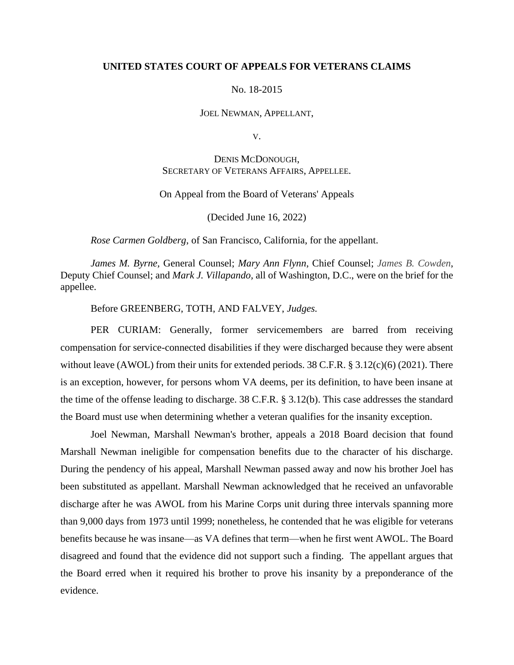### **UNITED STATES COURT OF APPEALS FOR VETERANS CLAIMS**

### No. 18-2015

JOEL NEWMAN, APPELLANT,

V.

# DENIS MCDONOUGH, SECRETARY OF VETERANS AFFAIRS, APPELLEE.

## On Appeal from the Board of Veterans' Appeals

(Decided June 16, 2022)

*Rose Carmen Goldberg*, of San Francisco, California, for the appellant.

*James M. Byrne,* General Counsel; *Mary Ann Flynn*, Chief Counsel; *James B. Cowden*, Deputy Chief Counsel; and *Mark J. Villapando,* all of Washington, D.C., were on the brief for the appellee.

### Before GREENBERG, TOTH, AND FALVEY, *Judges.*

PER CURIAM: Generally, former servicemembers are barred from receiving compensation for service-connected disabilities if they were discharged because they were absent without leave (AWOL) from their units for extended periods.  $38 \text{ C.F.R.}$  §  $3.12(c)(6)$  (2021). There is an exception, however, for persons whom VA deems, per its definition, to have been insane at the time of the offense leading to discharge. 38 C.F.R. § 3.12(b). This case addresses the standard the Board must use when determining whether a veteran qualifies for the insanity exception.

Joel Newman, Marshall Newman's brother, appeals a 2018 Board decision that found Marshall Newman ineligible for compensation benefits due to the character of his discharge. During the pendency of his appeal, Marshall Newman passed away and now his brother Joel has been substituted as appellant. Marshall Newman acknowledged that he received an unfavorable discharge after he was AWOL from his Marine Corps unit during three intervals spanning more than 9,000 days from 1973 until 1999; nonetheless, he contended that he was eligible for veterans benefits because he was insane—as VA defines that term—when he first went AWOL. The Board disagreed and found that the evidence did not support such a finding. The appellant argues that the Board erred when it required his brother to prove his insanity by a preponderance of the evidence.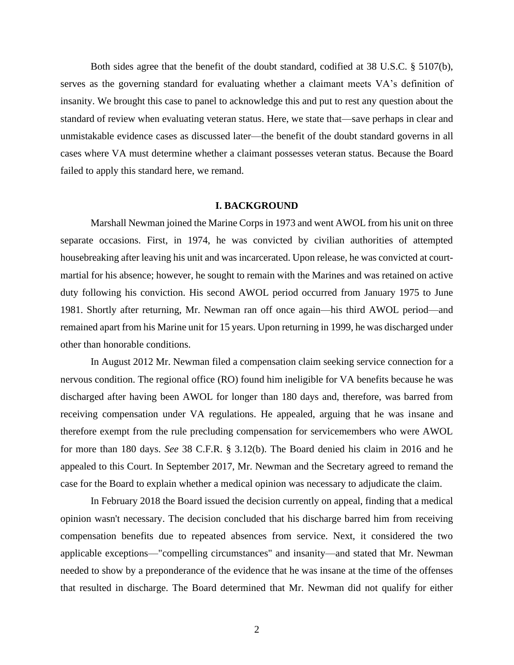Both sides agree that the benefit of the doubt standard, codified at 38 U.S.C. § 5107(b), serves as the governing standard for evaluating whether a claimant meets VA's definition of insanity. We brought this case to panel to acknowledge this and put to rest any question about the standard of review when evaluating veteran status. Here, we state that—save perhaps in clear and unmistakable evidence cases as discussed later—the benefit of the doubt standard governs in all cases where VA must determine whether a claimant possesses veteran status. Because the Board failed to apply this standard here, we remand.

### **I. BACKGROUND**

Marshall Newman joined the Marine Corps in 1973 and went AWOL from his unit on three separate occasions. First, in 1974, he was convicted by civilian authorities of attempted housebreaking after leaving his unit and was incarcerated. Upon release, he was convicted at courtmartial for his absence; however, he sought to remain with the Marines and was retained on active duty following his conviction. His second AWOL period occurred from January 1975 to June 1981. Shortly after returning, Mr. Newman ran off once again—his third AWOL period—and remained apart from his Marine unit for 15 years. Upon returning in 1999, he was discharged under other than honorable conditions.

In August 2012 Mr. Newman filed a compensation claim seeking service connection for a nervous condition. The regional office (RO) found him ineligible for VA benefits because he was discharged after having been AWOL for longer than 180 days and, therefore, was barred from receiving compensation under VA regulations. He appealed, arguing that he was insane and therefore exempt from the rule precluding compensation for servicemembers who were AWOL for more than 180 days. *See* 38 C.F.R. § 3.12(b). The Board denied his claim in 2016 and he appealed to this Court. In September 2017, Mr. Newman and the Secretary agreed to remand the case for the Board to explain whether a medical opinion was necessary to adjudicate the claim.

In February 2018 the Board issued the decision currently on appeal, finding that a medical opinion wasn't necessary. The decision concluded that his discharge barred him from receiving compensation benefits due to repeated absences from service. Next, it considered the two applicable exceptions—"compelling circumstances" and insanity—and stated that Mr. Newman needed to show by a preponderance of the evidence that he was insane at the time of the offenses that resulted in discharge. The Board determined that Mr. Newman did not qualify for either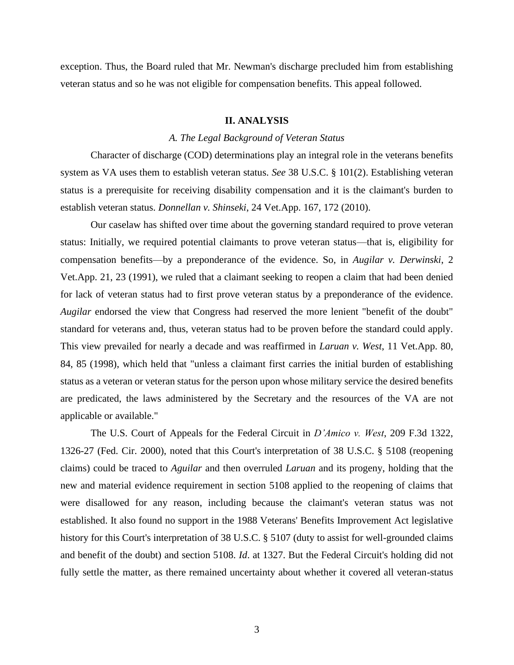exception. Thus, the Board ruled that Mr. Newman's discharge precluded him from establishing veteran status and so he was not eligible for compensation benefits. This appeal followed.

### **II. ANALYSIS**

### *A. The Legal Background of Veteran Status*

Character of discharge (COD) determinations play an integral role in the veterans benefits system as VA uses them to establish veteran status. *See* 38 U.S.C. § 101(2). Establishing veteran status is a prerequisite for receiving disability compensation and it is the claimant's burden to establish veteran status. *Donnellan v. Shinseki*, 24 Vet.App. 167, 172 (2010).

Our caselaw has shifted over time about the governing standard required to prove veteran status: Initially, we required potential claimants to prove veteran status—that is, eligibility for compensation benefits—by a preponderance of the evidence. So, in *Augilar v. Derwinski*, 2 Vet.App. 21, 23 (1991), we ruled that a claimant seeking to reopen a claim that had been denied for lack of veteran status had to first prove veteran status by a preponderance of the evidence. *Augilar* endorsed the view that Congress had reserved the more lenient "benefit of the doubt" standard for veterans and, thus, veteran status had to be proven before the standard could apply. This view prevailed for nearly a decade and was reaffirmed in *Laruan v. West*, 11 Vet.App. 80, 84, 85 (1998), which held that "unless a claimant first carries the initial burden of establishing status as a veteran or veteran status for the person upon whose military service the desired benefits are predicated, the laws administered by the Secretary and the resources of the VA are not applicable or available."

The U.S. Court of Appeals for the Federal Circuit in *D'Amico v. West*, 209 F.3d 1322, 1326-27 (Fed. Cir. 2000), noted that this Court's interpretation of 38 U.S.C. § 5108 (reopening claims) could be traced to *Aguilar* and then overruled *Laruan* and its progeny, holding that the new and material evidence requirement in section 5108 applied to the reopening of claims that were disallowed for any reason, including because the claimant's veteran status was not established. It also found no support in the 1988 Veterans' Benefits Improvement Act legislative history for this Court's interpretation of 38 U.S.C. § 5107 (duty to assist for well-grounded claims and benefit of the doubt) and section 5108. *Id*. at 1327. But the Federal Circuit's holding did not fully settle the matter, as there remained uncertainty about whether it covered all veteran-status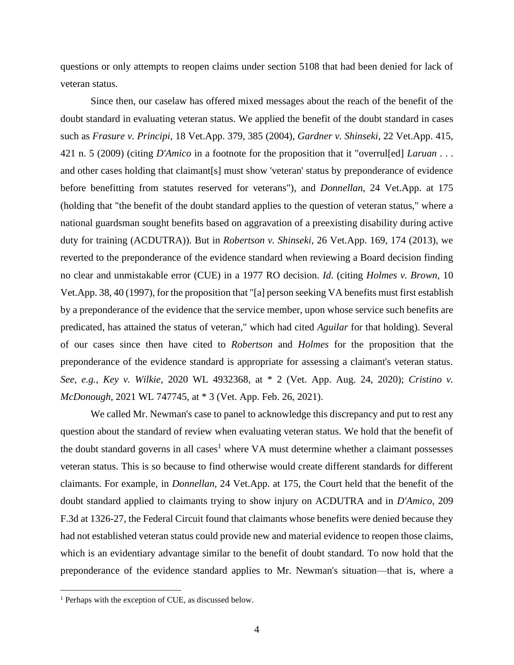questions or only attempts to reopen claims under section 5108 that had been denied for lack of veteran status.

Since then, our caselaw has offered mixed messages about the reach of the benefit of the doubt standard in evaluating veteran status. We applied the benefit of the doubt standard in cases such as *Frasure v. Principi*, 18 Vet.App. 379, 385 (2004), *Gardner v. Shinseki*, 22 Vet.App. 415, 421 n. 5 (2009) (citing *D'Amico* in a footnote for the proposition that it "overrul[ed] *Laruan* . . . and other cases holding that claimant[s] must show 'veteran' status by preponderance of evidence before benefitting from statutes reserved for veterans"), and *Donnellan*, 24 Vet.App. at 175 (holding that "the benefit of the doubt standard applies to the question of veteran status," where a national guardsman sought benefits based on aggravation of a preexisting disability during active duty for training (ACDUTRA)). But in *Robertson v. Shinseki*, 26 Vet.App. 169, 174 (2013), we reverted to the preponderance of the evidence standard when reviewing a Board decision finding no clear and unmistakable error (CUE) in a 1977 RO decision. *Id*. (citing *Holmes v. Brown*, 10 Vet.App. 38, 40 (1997), for the proposition that "[a] person seeking VA benefits must first establish by a preponderance of the evidence that the service member, upon whose service such benefits are predicated, has attained the status of veteran," which had cited *Aguilar* for that holding). Several of our cases since then have cited to *Robertson* and *Holmes* for the proposition that the preponderance of the evidence standard is appropriate for assessing a claimant's veteran status. *See, e.g., Key v. Wilkie*, 2020 WL 4932368, at \* 2 (Vet. App. Aug. 24, 2020); *Cristino v. McDonough*, 2021 WL 747745, at \* 3 (Vet. App. Feb. 26, 2021).

We called Mr. Newman's case to panel to acknowledge this discrepancy and put to rest any question about the standard of review when evaluating veteran status. We hold that the benefit of the doubt standard governs in all cases<sup>1</sup> where VA must determine whether a claimant possesses veteran status. This is so because to find otherwise would create different standards for different claimants. For example, in *Donnellan*, 24 Vet.App. at 175, the Court held that the benefit of the doubt standard applied to claimants trying to show injury on ACDUTRA and in *D'Amico*, 209 F.3d at 1326-27, the Federal Circuit found that claimants whose benefits were denied because they had not established veteran status could provide new and material evidence to reopen those claims, which is an evidentiary advantage similar to the benefit of doubt standard. To now hold that the preponderance of the evidence standard applies to Mr. Newman's situation—that is, where a

<sup>&</sup>lt;sup>1</sup> Perhaps with the exception of CUE, as discussed below.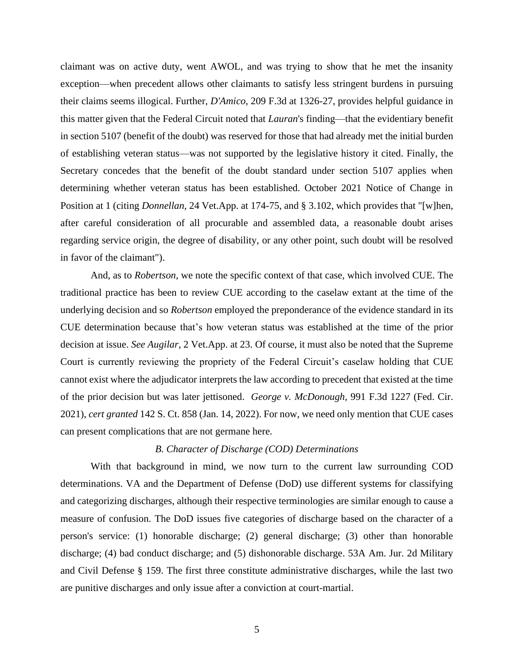claimant was on active duty, went AWOL, and was trying to show that he met the insanity exception—when precedent allows other claimants to satisfy less stringent burdens in pursuing their claims seems illogical. Further, *D'Amico*, 209 F.3d at 1326-27, provides helpful guidance in this matter given that the Federal Circuit noted that *Lauran*'s finding—that the evidentiary benefit in section 5107 (benefit of the doubt) was reserved for those that had already met the initial burden of establishing veteran status—was not supported by the legislative history it cited. Finally, the Secretary concedes that the benefit of the doubt standard under section 5107 applies when determining whether veteran status has been established. October 2021 Notice of Change in Position at 1 (citing *Donnellan,* 24 Vet.App. at 174-75, and § 3.102, which provides that "[w]hen, after careful consideration of all procurable and assembled data, a reasonable doubt arises regarding service origin, the degree of disability, or any other point, such doubt will be resolved in favor of the claimant").

And, as to *Robertson*, we note the specific context of that case, which involved CUE. The traditional practice has been to review CUE according to the caselaw extant at the time of the underlying decision and so *Robertson* employed the preponderance of the evidence standard in its CUE determination because that's how veteran status was established at the time of the prior decision at issue. *See Augilar*, 2 Vet.App. at 23. Of course, it must also be noted that the Supreme Court is currently reviewing the propriety of the Federal Circuit's caselaw holding that CUE cannot exist where the adjudicator interprets the law according to precedent that existed at the time of the prior decision but was later jettisoned. *George v. McDonough*, 991 F.3d 1227 (Fed. Cir. 2021), *cert granted* 142 S. Ct. 858 (Jan. 14, 2022). For now, we need only mention that CUE cases can present complications that are not germane here.

#### *B. Character of Discharge (COD) Determinations*

With that background in mind, we now turn to the current law surrounding COD determinations. VA and the Department of Defense (DoD) use different systems for classifying and categorizing discharges, although their respective terminologies are similar enough to cause a measure of confusion. The DoD issues five categories of discharge based on the character of a person's service: (1) honorable discharge; (2) general discharge; (3) other than honorable discharge; (4) bad conduct discharge; and (5) dishonorable discharge. 53A Am. Jur. 2d Military and Civil Defense § 159. The first three constitute administrative discharges, while the last two are punitive discharges and only issue after a conviction at court-martial.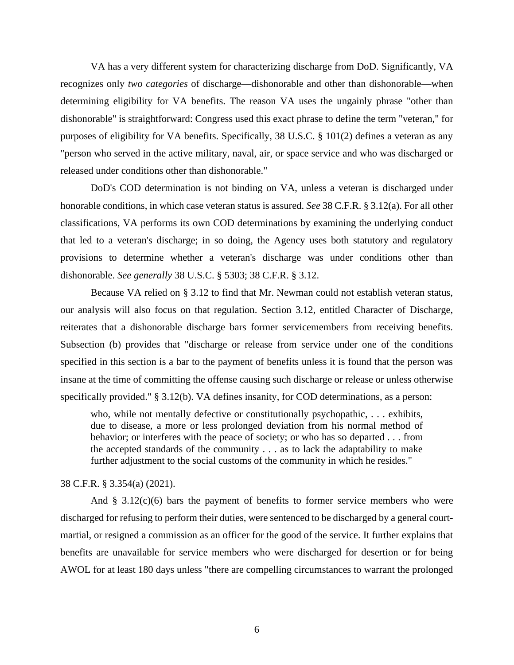VA has a very different system for characterizing discharge from DoD. Significantly, VA recognizes only *two categories* of discharge—dishonorable and other than dishonorable—when determining eligibility for VA benefits. The reason VA uses the ungainly phrase "other than dishonorable" is straightforward: Congress used this exact phrase to define the term "veteran," for purposes of eligibility for VA benefits. Specifically, 38 U.S.C. § 101(2) defines a veteran as any "person who served in the active military, naval, air, or space service and who was discharged or released under conditions other than dishonorable."

DoD's COD determination is not binding on VA, unless a veteran is discharged under honorable conditions, in which case veteran status is assured. *See* 38 C.F.R. § 3.12(a). For all other classifications, VA performs its own COD determinations by examining the underlying conduct that led to a veteran's discharge; in so doing, the Agency uses both statutory and regulatory provisions to determine whether a veteran's discharge was under conditions other than dishonorable. *See generally* 38 U.S.C. § 5303; 38 C.F.R. § 3.12.

Because VA relied on § 3.12 to find that Mr. Newman could not establish veteran status, our analysis will also focus on that regulation. Section 3.12, entitled Character of Discharge, reiterates that a dishonorable discharge bars former servicemembers from receiving benefits. Subsection (b) provides that "discharge or release from service under one of the conditions specified in this section is a bar to the payment of benefits unless it is found that the person was insane at the time of committing the offense causing such discharge or release or unless otherwise specifically provided." § 3.12(b). VA defines insanity, for COD determinations, as a person:

who, while not mentally defective or constitutionally psychopathic, . . . exhibits, due to disease, a more or less prolonged deviation from his normal method of behavior; or interferes with the peace of society; or who has so departed . . . from the accepted standards of the community . . . as to lack the adaptability to make further adjustment to the social customs of the community in which he resides."

#### 38 C.F.R. § 3.354(a) (2021).

And  $\S$  3.12(c)(6) bars the payment of benefits to former service members who were discharged for refusing to perform their duties, were sentenced to be discharged by a general courtmartial, or resigned a commission as an officer for the good of the service. It further explains that benefits are unavailable for service members who were discharged for desertion or for being AWOL for at least 180 days unless "there are compelling circumstances to warrant the prolonged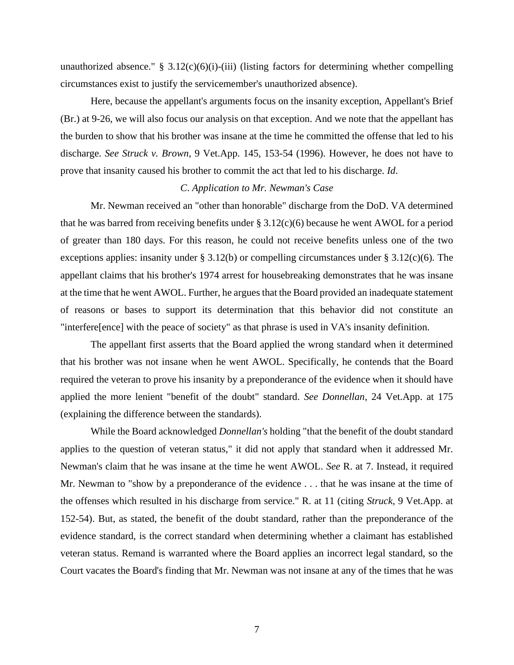unauthorized absence." §  $3.12(c)(6)(i)$ -(iii) (listing factors for determining whether compelling circumstances exist to justify the servicemember's unauthorized absence).

Here, because the appellant's arguments focus on the insanity exception, Appellant's Brief (Br.) at 9-26, we will also focus our analysis on that exception. And we note that the appellant has the burden to show that his brother was insane at the time he committed the offense that led to his discharge. *See Struck v. Brown*, 9 Vet.App. 145, 153-54 (1996). However, he does not have to prove that insanity caused his brother to commit the act that led to his discharge. *Id*.

#### *C*. *Application to Mr. Newman's Case*

Mr. Newman received an "other than honorable" discharge from the DoD. VA determined that he was barred from receiving benefits under § 3.12(c)(6) because he went AWOL for a period of greater than 180 days. For this reason, he could not receive benefits unless one of the two exceptions applies: insanity under § 3.12(b) or compelling circumstances under § 3.12(c)(6). The appellant claims that his brother's 1974 arrest for housebreaking demonstrates that he was insane at the time that he went AWOL. Further, he argues that the Board provided an inadequate statement of reasons or bases to support its determination that this behavior did not constitute an "interfere[ence] with the peace of society" as that phrase is used in VA's insanity definition.

The appellant first asserts that the Board applied the wrong standard when it determined that his brother was not insane when he went AWOL. Specifically, he contends that the Board required the veteran to prove his insanity by a preponderance of the evidence when it should have applied the more lenient "benefit of the doubt" standard. *See Donnellan*, 24 Vet.App. at 175 (explaining the difference between the standards).

While the Board acknowledged *Donnellan's* holding "that the benefit of the doubt standard applies to the question of veteran status," it did not apply that standard when it addressed Mr. Newman's claim that he was insane at the time he went AWOL. *See* R. at 7. Instead, it required Mr. Newman to "show by a preponderance of the evidence . . . that he was insane at the time of the offenses which resulted in his discharge from service." R. at 11 (citing *Struck*, 9 Vet.App. at 152-54). But, as stated, the benefit of the doubt standard, rather than the preponderance of the evidence standard, is the correct standard when determining whether a claimant has established veteran status. Remand is warranted where the Board applies an incorrect legal standard, so the Court vacates the Board's finding that Mr. Newman was not insane at any of the times that he was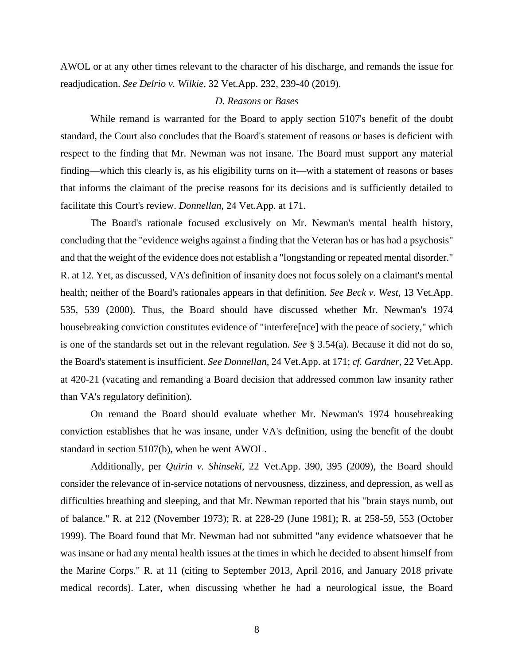AWOL or at any other times relevant to the character of his discharge, and remands the issue for readjudication. *See Delrio v. Wilkie*, 32 Vet.App. 232, 239-40 (2019).

### *D. Reasons or Bases*

While remand is warranted for the Board to apply section 5107's benefit of the doubt standard, the Court also concludes that the Board's statement of reasons or bases is deficient with respect to the finding that Mr. Newman was not insane. The Board must support any material finding—which this clearly is, as his eligibility turns on it—with a statement of reasons or bases that informs the claimant of the precise reasons for its decisions and is sufficiently detailed to facilitate this Court's review. *Donnellan*, 24 Vet.App. at 171.

The Board's rationale focused exclusively on Mr. Newman's mental health history, concluding that the "evidence weighs against a finding that the Veteran has or has had a psychosis" and that the weight of the evidence does not establish a "longstanding or repeated mental disorder." R. at 12. Yet, as discussed, VA's definition of insanity does not focus solely on a claimant's mental health; neither of the Board's rationales appears in that definition. *See Beck v. West*, 13 Vet.App. 535, 539 (2000). Thus, the Board should have discussed whether Mr. Newman's 1974 housebreaking conviction constitutes evidence of "interfere[nce] with the peace of society," which is one of the standards set out in the relevant regulation. *See* § 3.54(a). Because it did not do so, the Board's statement is insufficient. *See Donnellan*, 24 Vet.App. at 171; *cf. Gardner*, 22 Vet.App. at 420-21 (vacating and remanding a Board decision that addressed common law insanity rather than VA's regulatory definition).

On remand the Board should evaluate whether Mr. Newman's 1974 housebreaking conviction establishes that he was insane, under VA's definition, using the benefit of the doubt standard in section 5107(b), when he went AWOL.

Additionally, per *Quirin v. Shinseki*, 22 Vet.App. 390, 395 (2009), the Board should consider the relevance of in-service notations of nervousness, dizziness, and depression, as well as difficulties breathing and sleeping, and that Mr. Newman reported that his "brain stays numb, out of balance." R. at 212 (November 1973); R. at 228-29 (June 1981); R. at 258-59, 553 (October 1999). The Board found that Mr. Newman had not submitted "any evidence whatsoever that he was insane or had any mental health issues at the times in which he decided to absent himself from the Marine Corps." R. at 11 (citing to September 2013, April 2016, and January 2018 private medical records). Later, when discussing whether he had a neurological issue, the Board